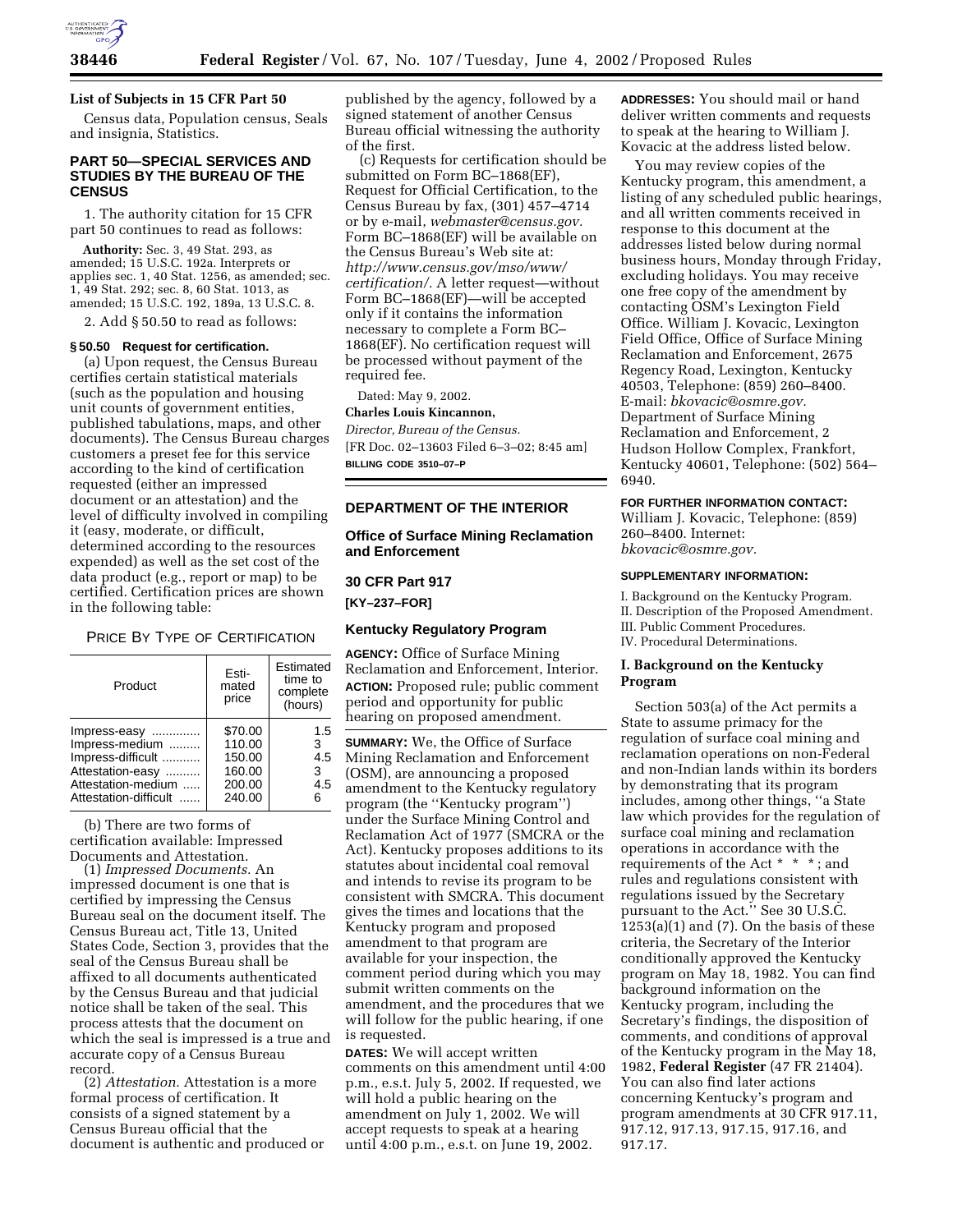

## **List of Subjects in 15 CFR Part 50**

Census data, Population census, Seals and insignia, Statistics.

## **PART 50—SPECIAL SERVICES AND STUDIES BY THE BUREAU OF THE CENSUS**

1. The authority citation for 15 CFR part 50 continues to read as follows:

**Authority:** Sec. 3, 49 Stat. 293, as amended; 15 U.S.C. 192a. Interprets or applies sec. 1, 40 Stat. 1256, as amended; sec. 1, 49 Stat. 292; sec. 8, 60 Stat. 1013, as amended; 15 U.S.C. 192, 189a, 13 U.S.C. 8.

2. Add § 50.50 to read as follows:

#### **§ 50.50 Request for certification.**

(a) Upon request, the Census Bureau certifies certain statistical materials (such as the population and housing unit counts of government entities, published tabulations, maps, and other documents). The Census Bureau charges customers a preset fee for this service according to the kind of certification requested (either an impressed document or an attestation) and the level of difficulty involved in compiling it (easy, moderate, or difficult, determined according to the resources expended) as well as the set cost of the data product (e.g., report or map) to be certified. Certification prices are shown in the following table:

PRICE BY TYPE OF CERTIFICATION

| Product               | Esti-<br>mated<br>price | Estimated<br>time to<br>complete<br>(hours) |
|-----------------------|-------------------------|---------------------------------------------|
| Impress-easy          | \$70.00                 | 1.5                                         |
| Impress-medium        | 110.00                  | 3                                           |
| Impress-difficult     | 150.00                  | 4.5                                         |
| Attestation-easy      | 160.00                  | 3                                           |
| Attestation-medium    | 200.00                  | 4.5                                         |
| Attestation-difficult | 240.00                  | 6                                           |

(b) There are two forms of certification available: Impressed Documents and Attestation.

(1) *Impressed Documents.* An impressed document is one that is certified by impressing the Census Bureau seal on the document itself. The Census Bureau act, Title 13, United States Code, Section 3, provides that the seal of the Census Bureau shall be affixed to all documents authenticated by the Census Bureau and that judicial notice shall be taken of the seal. This process attests that the document on which the seal is impressed is a true and accurate copy of a Census Bureau record.

(2) *Attestation.* Attestation is a more formal process of certification. It consists of a signed statement by a Census Bureau official that the document is authentic and produced or published by the agency, followed by a signed statement of another Census Bureau official witnessing the authority of the first.

(c) Requests for certification should be submitted on Form BC–1868(EF), Request for Official Certification, to the Census Bureau by fax, (301) 457–4714 or by e-mail, *webmaster@census.gov.* Form BC–1868(EF) will be available on the Census Bureau's Web site at: *http://www.census.gov/mso/www/ certification/.* A letter request—without Form BC–1868(EF)—will be accepted only if it contains the information necessary to complete a Form BC– 1868(EF). No certification request will be processed without payment of the required fee.

Dated: May 9, 2002.

## **Charles Louis Kincannon,**

*Director, Bureau of the Census.* [FR Doc. 02–13603 Filed 6–3–02; 8:45 am] **BILLING CODE 3510–07–P**

#### **DEPARTMENT OF THE INTERIOR**

## **Office of Surface Mining Reclamation and Enforcement**

**30 CFR Part 917** 

**[KY–237–FOR]** 

## **Kentucky Regulatory Program**

**AGENCY:** Office of Surface Mining Reclamation and Enforcement, Interior. **ACTION:** Proposed rule; public comment period and opportunity for public hearing on proposed amendment.

**SUMMARY:** We, the Office of Surface Mining Reclamation and Enforcement (OSM), are announcing a proposed amendment to the Kentucky regulatory program (the ''Kentucky program'') under the Surface Mining Control and Reclamation Act of 1977 (SMCRA or the Act). Kentucky proposes additions to its statutes about incidental coal removal and intends to revise its program to be consistent with SMCRA. This document gives the times and locations that the Kentucky program and proposed amendment to that program are available for your inspection, the comment period during which you may submit written comments on the amendment, and the procedures that we will follow for the public hearing, if one is requested.

**DATES:** We will accept written comments on this amendment until 4:00 p.m., e.s.t. July 5, 2002. If requested, we will hold a public hearing on the amendment on July 1, 2002. We will accept requests to speak at a hearing until 4:00 p.m., e.s.t. on June 19, 2002.

**ADDRESSES:** You should mail or hand deliver written comments and requests to speak at the hearing to William J. Kovacic at the address listed below.

You may review copies of the Kentucky program, this amendment, a listing of any scheduled public hearings, and all written comments received in response to this document at the addresses listed below during normal business hours, Monday through Friday, excluding holidays. You may receive one free copy of the amendment by contacting OSM's Lexington Field Office. William J. Kovacic, Lexington Field Office, Office of Surface Mining Reclamation and Enforcement, 2675 Regency Road, Lexington, Kentucky 40503, Telephone: (859) 260–8400. E-mail: *bkovacic@osmre.gov.* Department of Surface Mining Reclamation and Enforcement, 2 Hudson Hollow Complex, Frankfort, Kentucky 40601, Telephone: (502) 564– 6940.

#### **FOR FURTHER INFORMATION CONTACT:**

William J. Kovacic, Telephone: (859) 260–8400. Internet: *bkovacic@osmre.gov.*

#### **SUPPLEMENTARY INFORMATION:**

I. Background on the Kentucky Program. II. Description of the Proposed Amendment. III. Public Comment Procedures. IV. Procedural Determinations.

## **I. Background on the Kentucky Program**

Section 503(a) of the Act permits a State to assume primacy for the regulation of surface coal mining and reclamation operations on non-Federal and non-Indian lands within its borders by demonstrating that its program includes, among other things, ''a State law which provides for the regulation of surface coal mining and reclamation operations in accordance with the requirements of the Act \* \* \* ; and rules and regulations consistent with regulations issued by the Secretary pursuant to the Act.'' See 30 U.S.C.  $1253(a)(1)$  and  $(7)$ . On the basis of these criteria, the Secretary of the Interior conditionally approved the Kentucky program on May 18, 1982. You can find background information on the Kentucky program, including the Secretary's findings, the disposition of comments, and conditions of approval of the Kentucky program in the May 18, 1982, **Federal Register** (47 FR 21404). You can also find later actions concerning Kentucky's program and program amendments at 30 CFR 917.11, 917.12, 917.13, 917.15, 917.16, and 917.17.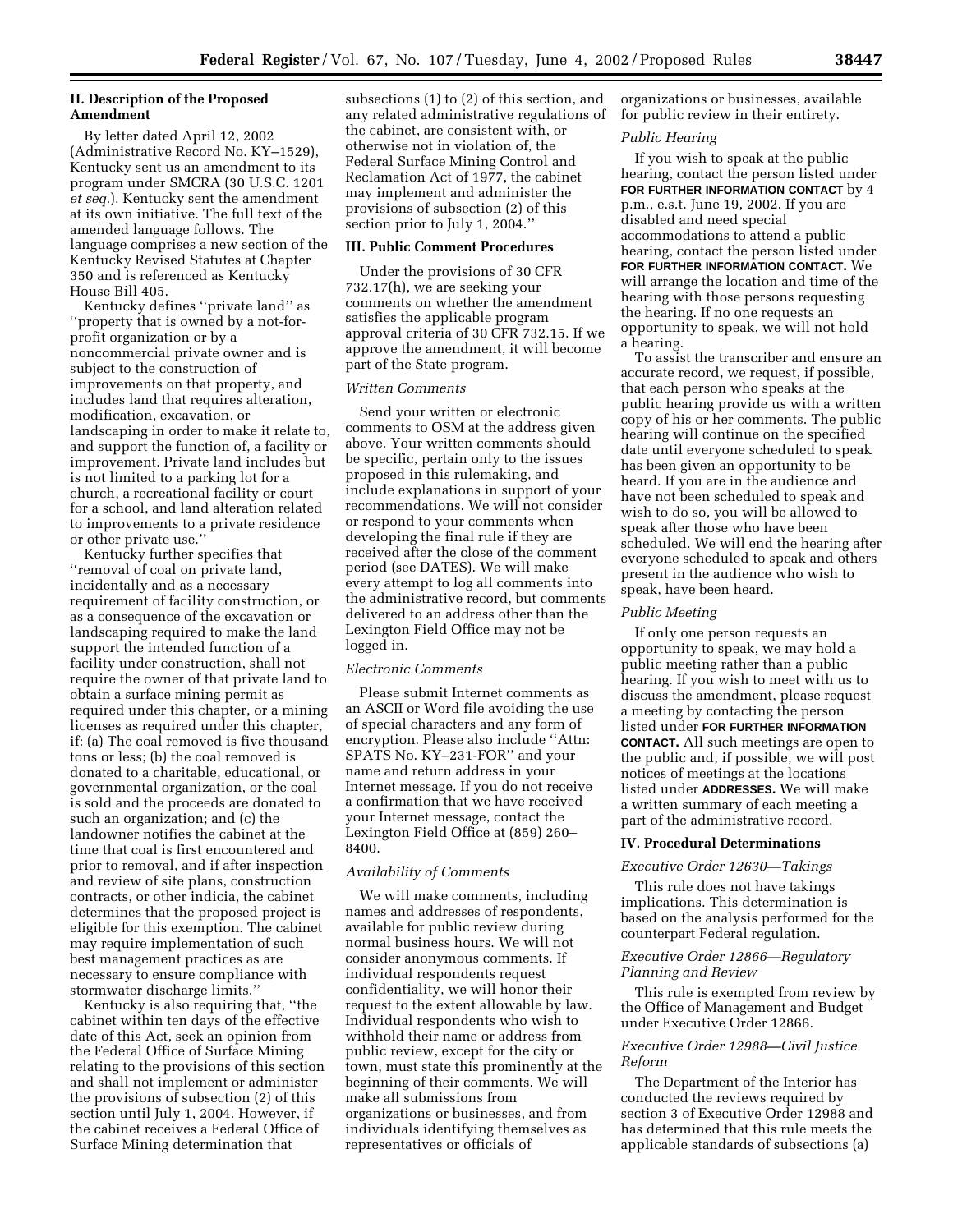## **II. Description of the Proposed Amendment**

By letter dated April 12, 2002 (Administrative Record No. KY–1529), Kentucky sent us an amendment to its program under SMCRA (30 U.S.C. 1201 *et seq.*). Kentucky sent the amendment at its own initiative. The full text of the amended language follows. The language comprises a new section of the Kentucky Revised Statutes at Chapter 350 and is referenced as Kentucky House Bill 405.

Kentucky defines ''private land'' as ''property that is owned by a not-forprofit organization or by a noncommercial private owner and is subject to the construction of improvements on that property, and includes land that requires alteration, modification, excavation, or landscaping in order to make it relate to, and support the function of, a facility or improvement. Private land includes but is not limited to a parking lot for a church, a recreational facility or court for a school, and land alteration related to improvements to a private residence or other private use.''

Kentucky further specifies that ''removal of coal on private land, incidentally and as a necessary requirement of facility construction, or as a consequence of the excavation or landscaping required to make the land support the intended function of a facility under construction, shall not require the owner of that private land to obtain a surface mining permit as required under this chapter, or a mining licenses as required under this chapter, if: (a) The coal removed is five thousand tons or less; (b) the coal removed is donated to a charitable, educational, or governmental organization, or the coal is sold and the proceeds are donated to such an organization; and (c) the landowner notifies the cabinet at the time that coal is first encountered and prior to removal, and if after inspection and review of site plans, construction contracts, or other indicia, the cabinet determines that the proposed project is eligible for this exemption. The cabinet may require implementation of such best management practices as are necessary to ensure compliance with stormwater discharge limits.''

Kentucky is also requiring that, ''the cabinet within ten days of the effective date of this Act, seek an opinion from the Federal Office of Surface Mining relating to the provisions of this section and shall not implement or administer the provisions of subsection (2) of this section until July 1, 2004. However, if the cabinet receives a Federal Office of Surface Mining determination that

subsections (1) to (2) of this section, and any related administrative regulations of the cabinet, are consistent with, or otherwise not in violation of, the Federal Surface Mining Control and Reclamation Act of 1977, the cabinet may implement and administer the provisions of subsection (2) of this section prior to July 1, 2004.''

## **III. Public Comment Procedures**

Under the provisions of 30 CFR 732.17(h), we are seeking your comments on whether the amendment satisfies the applicable program approval criteria of 30 CFR 732.15. If we approve the amendment, it will become part of the State program.

#### *Written Comments*

Send your written or electronic comments to OSM at the address given above. Your written comments should be specific, pertain only to the issues proposed in this rulemaking, and include explanations in support of your recommendations. We will not consider or respond to your comments when developing the final rule if they are received after the close of the comment period (see DATES). We will make every attempt to log all comments into the administrative record, but comments delivered to an address other than the Lexington Field Office may not be logged in.

### *Electronic Comments*

Please submit Internet comments as an ASCII or Word file avoiding the use of special characters and any form of encryption. Please also include ''Attn: SPATS No. KY–231-FOR'' and your name and return address in your Internet message. If you do not receive a confirmation that we have received your Internet message, contact the Lexington Field Office at (859) 260– 8400.

### *Availability of Comments*

We will make comments, including names and addresses of respondents, available for public review during normal business hours. We will not consider anonymous comments. If individual respondents request confidentiality, we will honor their request to the extent allowable by law. Individual respondents who wish to withhold their name or address from public review, except for the city or town, must state this prominently at the beginning of their comments. We will make all submissions from organizations or businesses, and from individuals identifying themselves as representatives or officials of

organizations or businesses, available for public review in their entirety.

#### *Public Hearing*

If you wish to speak at the public hearing, contact the person listed under **FOR FURTHER INFORMATION CONTACT** by 4 p.m., e.s.t. June 19, 2002. If you are disabled and need special accommodations to attend a public hearing, contact the person listed under **FOR FURTHER INFORMATION CONTACT.** We will arrange the location and time of the hearing with those persons requesting the hearing. If no one requests an opportunity to speak, we will not hold a hearing.

To assist the transcriber and ensure an accurate record, we request, if possible, that each person who speaks at the public hearing provide us with a written copy of his or her comments. The public hearing will continue on the specified date until everyone scheduled to speak has been given an opportunity to be heard. If you are in the audience and have not been scheduled to speak and wish to do so, you will be allowed to speak after those who have been scheduled. We will end the hearing after everyone scheduled to speak and others present in the audience who wish to speak, have been heard.

#### *Public Meeting*

If only one person requests an opportunity to speak, we may hold a public meeting rather than a public hearing. If you wish to meet with us to discuss the amendment, please request a meeting by contacting the person listed under **FOR FURTHER INFORMATION CONTACT.** All such meetings are open to the public and, if possible, we will post notices of meetings at the locations listed under **ADDRESSES.** We will make a written summary of each meeting a part of the administrative record.

### **IV. Procedural Determinations**

#### *Executive Order 12630—Takings*

This rule does not have takings implications. This determination is based on the analysis performed for the counterpart Federal regulation.

## *Executive Order 12866—Regulatory Planning and Review*

This rule is exempted from review by the Office of Management and Budget under Executive Order 12866.

### *Executive Order 12988—Civil Justice Reform*

The Department of the Interior has conducted the reviews required by section 3 of Executive Order 12988 and has determined that this rule meets the applicable standards of subsections (a)